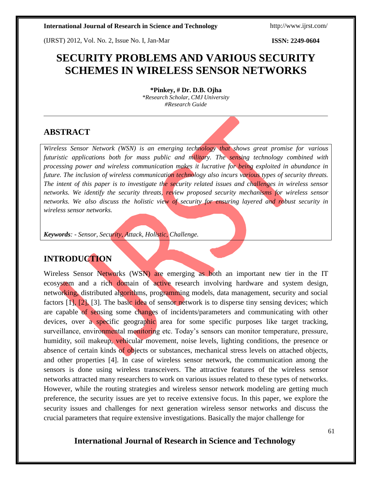(IJRST) 2012, Vol. No. 2, Issue No. I, Jan-Mar **ISSN: 2249-0604**

# **SECURITY PROBLEMS AND VARIOUS SECURITY SCHEMES IN WIRELESS SENSOR NETWORKS**

**\*Pinkey, # Dr. D.B. Ojha** *\*Research Scholar, CMJ University #Research Guide*

## **ABSTRACT**

*Wireless Sensor Network (WSN) is an emerging technology that shows great promise for various futuristic applications both for mass public and military. The sensing technology combined with processing power and wireless communication makes it lucrative for being exploited in abundance in future. The inclusion of wireless communication technology also incurs various types of security threats. The intent of this paper is to investigate the security related issues and challenges in wireless sensor networks. We identify the security threats, review proposed security mechanisms for wireless sensor networks. We also discuss the holistic view of security for ensuring layered and robust security in wireless sensor networks.*

*Keywords: - Sensor, Security, Attack, Holistic, Challenge.*

## **INTRODUCTION**

Wireless Sensor Networks (WSN) are emerging as both an important new tier in the IT ecosystem and a rich domain of active research involving hardware and system design, networking, distributed algorithms, programming models, data management, security and social factors  $[1]$ ,  $[2]$ ,  $[3]$ . The basic idea of sensor network is to disperse tiny sensing devices; which are capable of sensing some changes of incidents/parameters and communicating with other devices, over a specific geographic area for some specific purposes like target tracking, surveillance, environmental monitoring etc. Today's sensors can monitor temperature, pressure, humidity, soil makeup, vehicular movement, noise levels, lighting conditions, the presence or absence of certain kinds of objects or substances, mechanical stress levels on attached objects, and other properties [4]. In case of wireless sensor network, the communication among the sensors is done using wireless transceivers. The attractive features of the wireless sensor networks attracted many researchers to work on various issues related to these types of networks. However, while the routing strategies and wireless sensor network modeling are getting much preference, the security issues are yet to receive extensive focus. In this paper, we explore the security issues and challenges for next generation wireless sensor networks and discuss the crucial parameters that require extensive investigations. Basically the major challenge for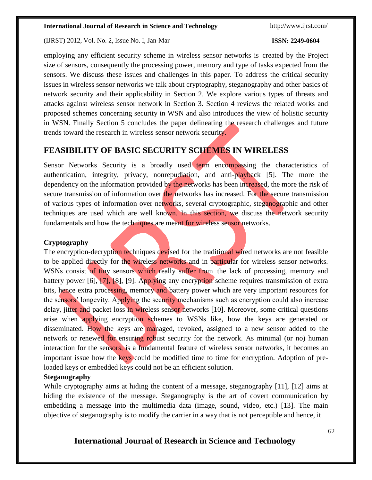(IJRST) 2012, Vol. No. 2, Issue No. I, Jan-Mar **ISSN: 2249-0604**

employing any efficient security scheme in wireless sensor networks is created by the Project size of sensors, consequently the processing power, memory and type of tasks expected from the sensors. We discuss these issues and challenges in this paper. To address the critical security issues in wireless sensor networks we talk about cryptography, steganography and other basics of network security and their applicability in Section 2. We explore various types of threats and attacks against wireless sensor network in Section 3. Section 4 reviews the related works and proposed schemes concerning security in WSN and also introduces the view of holistic security in WSN. Finally Section 5 concludes the paper delineating the research challenges and future trends toward the research in wireless sensor network security.

## **FEASIBILITY OF BASIC SECURITY SCHEMES IN WIRELESS**

Sensor Networks Security is a broadly used term encompassing the characteristics of authentication, integrity, privacy, nonrepudiation, and anti-playback [5]. The more the dependency on the information provided by the networks has been increased, the more the risk of secure transmission of information over the networks has increased. For the secure transmission of various types of information over networks, several cryptographic, steganographic and other techniques are used which are well known. In this section, we discuss the network security fundamentals and how the techniques are meant for wireless sensor networks.

### **Cryptography**

The encryption-decryption techniques devised for the traditional wired networks are not feasible to be applied directly for the wireless networks and in particular for wireless sensor networks. WSNs consist of tiny sensors which really suffer from the lack of processing, memory and battery power [6], [7], [8], [9]. Applying any encryption scheme requires transmission of extra bits, hence extra processing, memory and battery power which are very important resources for the sensors' longevity. Applying the security mechanisms such as encryption could also increase delay, jitter and packet loss in wireless sensor networks [10]. Moreover, some critical questions arise when applying encryption schemes to WSNs like, how the keys are generated or disseminated. How the keys are managed, revoked, assigned to a new sensor added to the network or renewed for ensuring robust security for the network. As minimal (or no) human interaction for the sensors, is a fundamental feature of wireless sensor networks, it becomes an important issue how the keys could be modified time to time for encryption. Adoption of preloaded keys or embedded keys could not be an efficient solution.

### **Steganography**

While cryptography aims at hiding the content of a message, steganography [11], [12] aims at hiding the existence of the message. Steganography is the art of covert communication by embedding a message into the multimedia data (image, sound, video, etc.) [13]. The main objective of steganography is to modify the carrier in a way that is not perceptible and hence, it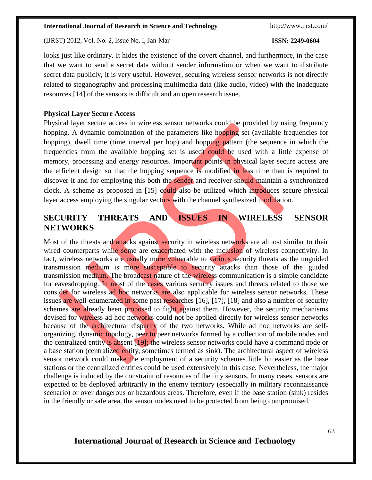(IJRST) 2012, Vol. No. 2, Issue No. I, Jan-Mar **ISSN: 2249-0604**

looks just like ordinary. It hides the existence of the covert channel, and furthermore, in the case that we want to send a secret data without sender information or when we want to distribute secret data publicly, it is very useful. However, securing wireless sensor networks is not directly related to steganography and processing multimedia data (like audio, video) with the inadequate resources [14] of the sensors is difficult and an open research issue.

#### **Physical Layer Secure Access**

Physical layer secure access in wireless sensor networks could be provided by using frequency hopping. A dynamic combination of the parameters like hopping set (available frequencies for hopping), dwell time (time interval per hop) and hopping pattern (the sequence in which the frequencies from the available hopping set is used) could be used with a little expense of memory, processing and energy resources. Important points in physical layer secure access are the efficient design so that the hopping sequence is modified in less time than is required to discover it and for employing this both the sender and receiver should maintain a synchronized clock. A scheme as proposed in [15] could also be utilized which introduces secure physical layer access employing the singular vectors with the channel synthesized modulation.

## **SECURITY THREATS AND ISSUES IN WIRELESS SENSOR NETWORKS**

Most of the threats and attacks against security in wireless networks are almost similar to their wired counterparts while some are exacerbated with the inclusion of wireless connectivity. In fact, wireless networks are usually more vulnerable to various security threats as the unguided transmission medium is more susceptible to security attacks than those of the guided transmission medium. The broadcast nature of the wireless communication is a simple candidate for eavesdropping. In most of the cases various security issues and threats related to those we consider for wireless ad hoc networks are also applicable for wireless sensor networks. These issues are well-enumerated in some past researches [16], [17], [18] and also a number of security schemes are already been proposed to fight against them. However, the security mechanisms devised for wireless ad hoc networks could not be applied directly for wireless sensor networks because of the architectural disparity of the two networks. While ad hoc networks are selforganizing, dynamic topology, peer to peer networks formed by a collection of mobile nodes and the centralized entity is absent [19]; the wireless sensor networks could have a command node or a base station (centralized entity, sometimes termed as sink). The architectural aspect of wireless sensor network could make the employment of a security schemes little bit easier as the base stations or the centralized entities could be used extensively in this case. Nevertheless, the major challenge is induced by the constraint of resources of the tiny sensors. In many cases, sensors are expected to be deployed arbitrarily in the enemy territory (especially in military reconnaissance scenario) or over dangerous or hazardous areas. Therefore, even if the base station (sink) resides in the friendly or safe area, the sensor nodes need to be protected from being compromised.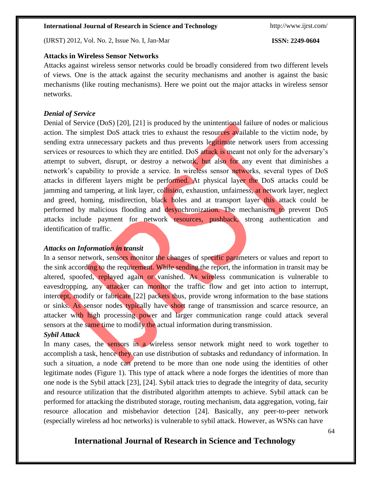(IJRST) 2012, Vol. No. 2, Issue No. I, Jan-Mar **ISSN: 2249-0604**

#### **Attacks in Wireless Sensor Networks**

Attacks against wireless sensor networks could be broadly considered from two different levels of views. One is the attack against the security mechanisms and another is against the basic mechanisms (like routing mechanisms). Here we point out the major attacks in wireless sensor networks.

#### *Denial of Service*

Denial of Service (DoS) [20], [21] is produced by the unintentional failure of nodes or malicious action. The simplest DoS attack tries to exhaust the resources available to the victim node, by sending extra unnecessary packets and thus prevents legitimate network users from accessing services or resources to which they are entitled. DoS attack is meant not only for the adversary's attempt to subvert, disrupt, or destroy a network, but also for any event that diminishes a network's capability to provide a service. In wireless sensor networks, several types of DoS attacks in different layers might be performed. At physical layer the DoS attacks could be jamming and tampering, at link layer, collision, exhaustion, unfairness, at network layer, neglect and greed, homing, misdirection, black holes and at transport layer this attack could be performed by malicious flooding and desynchronization. The mechanisms to prevent DoS attacks include payment for network resources, pushback, strong authentication and identification of traffic.

#### *Attacks on Information in transit*

In a sensor network, sensors monitor the changes of specific parameters or values and report to the sink according to the requirement. While sending the report, the information in transit may be altered, spoofed, replayed again or vanished. As wireless communication is vulnerable to eavesdropping, any attacker can monitor the traffic flow and get into action to interrupt, intercept, modify or fabricate [22] packets thus, provide wrong information to the base stations or sinks. As sensor nodes typically have short range of transmission and scarce resource, an attacker with high processing power and larger communication range could attack several sensors at the same time to modify the actual information during transmission.

### *Sybil Attack*

In many cases, the sensors in a wireless sensor network might need to work together to accomplish a task, hence they can use distribution of subtasks and redundancy of information. In such a situation, a node can pretend to be more than one node using the identities of other legitimate nodes (Figure 1). This type of attack where a node forges the identities of more than one node is the Sybil attack [23], [24]. Sybil attack tries to degrade the integrity of data, security and resource utilization that the distributed algorithm attempts to achieve. Sybil attack can be performed for attacking the distributed storage, routing mechanism, data aggregation, voting, fair resource allocation and misbehavior detection [24]. Basically, any peer-to-peer network (especially wireless ad hoc networks) is vulnerable to sybil attack. However, as WSNs can have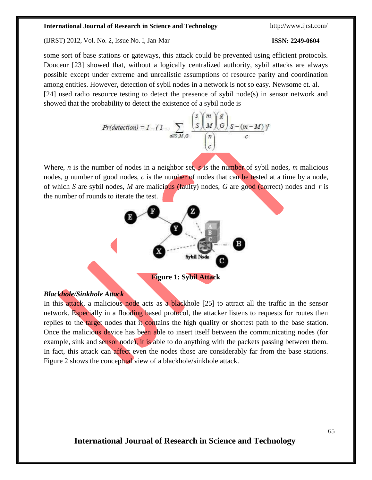#### (IJRST) 2012, Vol. No. 2, Issue No. I, Jan-Mar **ISSN: 2249-0604**

some sort of base stations or gateways, this attack could be prevented using efficient protocols. Douceur [23] showed that, without a logically centralized authority, sybil attacks are always possible except under extreme and unrealistic assumptions of resource parity and coordination among entities. However, detection of sybil nodes in a network is not so easy. Newsome et. al. [24] used radio resource testing to detect the presence of sybil node(s) in sensor network and showed that the probability to detect the existence of a sybil node is

$$
Pr(detection) = 1 - (1 - \sum_{allS,M,G} \frac{{\binom{s}{S} \binom{m}{M} \binom{g}{G}} S - (m-M)}{{\binom{n}{c}}^T}
$$

Where, *n* is the number of nodes in a neighbor set,  $s$  is the number of sybil nodes, *m* malicious nodes, *g* number of good nodes, *c* is the number of nodes that can be tested at a time by a node, of which *S* are sybil nodes, *M* are malicious (faulty) nodes, *G* are good (correct) nodes and *r* is the number of rounds to iterate the test.



### *Blackhole/Sinkhole Attack*

In this attack, a malicious node acts as a blackhole [25] to attract all the traffic in the sensor network. Especially in a flooding based protocol, the attacker listens to requests for routes then replies to the target nodes that it contains the high quality or shortest path to the base station. Once the malicious device has been able to insert itself between the communicating nodes (for example, sink and sensor node), it is able to do anything with the packets passing between them. In fact, this attack can affect even the nodes those are considerably far from the base stations. Figure 2 shows the conceptual view of a blackhole/sinkhole attack.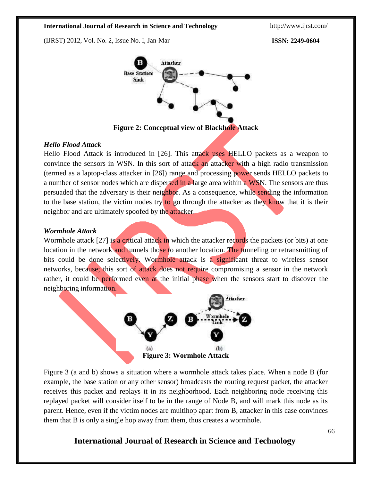(IJRST) 2012, Vol. No. 2, Issue No. I, Jan-Mar **ISSN: 2249-0604**



**Figure 2: Conceptual view of Blackhole Attack**

### *Hello Flood Attack*

Hello Flood Attack is introduced in [26]. This attack uses HELLO packets as a weapon to convince the sensors in WSN. In this sort of attack an attacker with a high radio transmission (termed as a laptop-class attacker in [26]) range and processing power sends HELLO packets to a number of sensor nodes which are dispersed in a large area within a WSN. The sensors are thus persuaded that the adversary is their neighbor. As a consequence, while sending the information to the base station, the victim nodes try to go through the attacker as they know that it is their neighbor and are ultimately spoofed by the attacker.

### *Wormhole Attack*

Wormhole attack [27] is a critical attack in which the attacker records the packets (or bits) at one location in the network and tunnels those to another location. The tunneling or retransmitting of bits could be done selectively. Wormhole attack is a significant threat to wireless sensor networks, because; this sort of attack does not require compromising a sensor in the network rather, it could be performed even at the initial phase when the sensors start to discover the neighboring information.



Figure 3 (a and b) shows a situation where a wormhole attack takes place. When a node B (for example, the base station or any other sensor) broadcasts the routing request packet, the attacker receives this packet and replays it in its neighborhood. Each neighboring node receiving this replayed packet will consider itself to be in the range of Node B, and will mark this node as its parent. Hence, even if the victim nodes are multihop apart from B, attacker in this case convinces them that B is only a single hop away from them, thus creates a wormhole.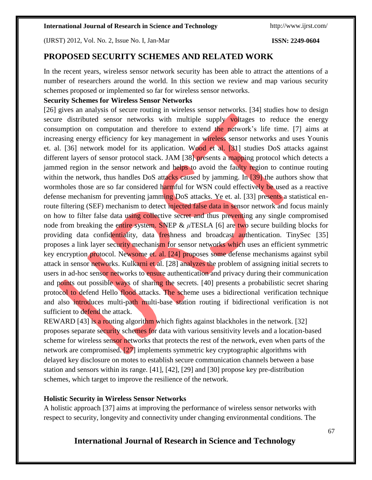(IJRST) 2012, Vol. No. 2, Issue No. I, Jan-Mar **ISSN: 2249-0604**

### **PROPOSED SECURITY SCHEMES AND RELATED WORK**

In the recent years, wireless sensor network security has been able to attract the attentions of a number of researchers around the world. In this section we review and map various security schemes proposed or implemented so far for wireless sensor networks.

### **Security Schemes for Wireless Sensor Networks**

[26] gives an analysis of secure routing in wireless sensor networks. [34] studies how to design secure distributed sensor networks with multiple supply voltages to reduce the energy consumption on computation and therefore to extend the network's life time. [7] aims at increasing energy efficiency for key management in wireless sensor networks and uses Younis et. al. [36] network model for its application. Wood et al. [31] studies DoS attacks against different layers of sensor protocol stack. JAM [38] presents a mapping protocol which detects a jammed region in the sensor network and helps to avoid the faulty region to continue routing within the network, thus handles DoS attacks caused by jamming. In [39] the authors show that wormholes those are so far considered harmful for WSN could effectively be used as a reactive defense mechanism for preventing jamming DoS attacks. Ye et. al. [33] presents a statistical enroute filtering (SEF) mechanism to detect injected false data in sensor network and focus mainly on how to filter false data using collective secret and thus preventing any single compromised node from breaking the entire system. SNEP & *μ*TESLA [6] are two secure building blocks for providing data confidentiality, data freshness and broadcast authentication. TinySec [35] proposes a link layer security mechanism for sensor networks which uses an efficient symmetric key encryption protocol. Newsome et. al. [24] proposes some defense mechanisms against sybil attack in sensor networks. Kulkarni et al. [28] analyzes the problem of assigning initial secrets to users in ad-hoc sensor networks to ensure authentication and privacy during their communication and points out possible ways of sharing the secrets. [40] presents a probabilistic secret sharing protocol to defend Hello flood attacks. The scheme uses a bidirectional verification technique and also introduces multi-path multi-base station routing if bidirectional verification is not sufficient to defend the attack.

REWARD [43] is a routing algorithm which fights against blackholes in the network. [32] proposes separate security schemes for data with various sensitivity levels and a location-based scheme for wireless sensor networks that protects the rest of the network, even when parts of the network are compromised. [27] implements symmetric key cryptographic algorithms with delayed key disclosure on motes to establish secure communication channels between a base station and sensors within its range. [41], [42], [29] and [30] propose key pre-distribution schemes, which target to improve the resilience of the network.

### **Holistic Security in Wireless Sensor Networks**

A holistic approach [37] aims at improving the performance of wireless sensor networks with respect to security, longevity and connectivity under changing environmental conditions. The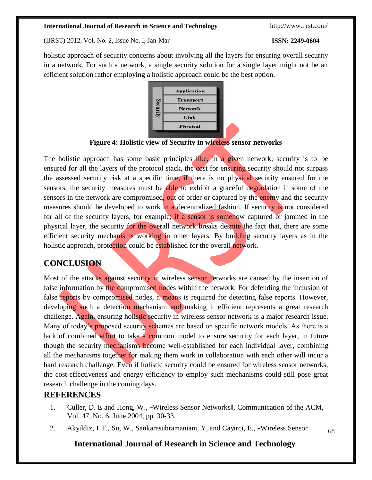(IJRST) 2012, Vol. No. 2, Issue No. I, Jan-Mar **ISSN: 2249-0604**

holistic approach of security concerns about involving all the layers for ensuring overall security in a network. For such a network, a single security solution for a single layer might not be an efficient solution rather employing a holistic approach could be the best option.



**Figure 4: Holistic view of Security in wireless sensor networks**

The holistic approach has some basic principles like, in a given network; security is to be ensured for all the layers of the protocol stack, the cost for ensuring security should not surpass the assessed security risk at a specific time, if there is no physical security ensured for the sensors, the security measures must be able to exhibit a graceful degradation if some of the sensors in the network are compromised, out of order or captured by the enemy and the security measures should be developed to work in a decentralized fashion. If security is not considered for all of the security layers, for example; if a sensor is somehow captured or jammed in the physical layer, the security for the overall network breaks despite the fact that, there are some efficient security mechanisms working in other layers. By building security layers as in the holistic approach, protection could be established for the overall network.

## **CONCLUSION**

Most of the attacks against security in wireless sensor networks are caused by the insertion of false information by the compromised nodes within the network. For defending the inclusion of false reports by compromised nodes, a means is required for detecting false reports. However, developing such a detection mechanism and making it efficient represents a great research challenge. Again, ensuring holistic security in wireless sensor network is a major research issue. Many of today's proposed security schemes are based on specific network models. As there is a lack of combined effort to take a common model to ensure security for each layer, in future though the security mechanisms become well-established for each individual layer, combining all the mechanisms together for making them work in collaboration with each other will incur a hard research challenge. Even if holistic security could be ensured for wireless sensor networks, the cost-effectiveness and energy efficiency to employ such mechanisms could still pose great research challenge in the coming days.

## **REFERENCES**

- 1. Culler, D. E and Hong, W., ―Wireless Sensor Networks‖, Communication of the ACM, Vol. 47, No. 6, June 2004, pp. 30-33.
- 2. Akyildiz, I. F., Su, W., Sankarasubramaniam, Y, and Cayirci, E., ―Wireless Sensor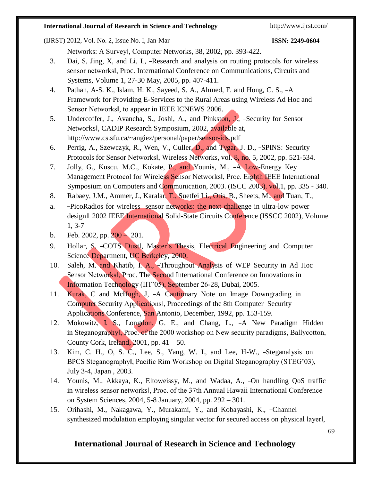### (IJRST) 2012, Vol. No. 2, Issue No. I, Jan-Mar **ISSN: 2249-0604**

Networks: A Survey‖, Computer Networks, 38, 2002, pp. 393-422.

- 3. Dai, S, Jing, X, and Li, L, ―Research and analysis on routing protocols for wireless sensor networks‖, Proc. International Conference on Communications, Circuits and Systems, Volume 1, 27-30 May, 2005, pp. 407-411.
- 4. Pathan, A-S. K., Islam, H. K., Sayeed, S. A., Ahmed, F. and Hong, C. S., ―A Framework for Providing E-Services to the Rural Areas using Wireless Ad Hoc and Sensor Networks‖, to appear in IEEE ICNEWS 2006.
- 5. Undercoffer, J., Avancha, S., Joshi, A., and Pinkston, J., ―Security for Sensor Networks‖, CADIP Research Symposium, 2002, available at, <http://www.cs.sfu.ca/~angiez/personal/paper/sensor-ids.pdf>
- 6. Perrig, A., Szewczyk, R., Wen, V., Culler, D., and Tygar, J. D., ―SPINS: Security Protocols for Sensor Networks‖, Wireless Networks, vol. 8, no. 5, 2002, pp. 521-534.
- 7. Jolly, G., Kuscu, M.C., Kokate, P., and Younis, M., ―A Low-Energy Key Management Protocol for Wireless Sensor Networksl, Proc. Eighth IEEE International Symposium on Computers and Communication, 2003. (ISCC 2003). vol.1, pp. 335 - 340.
- 8. Rabaey, J.M., Ammer, J., Karalar, T., Suetfei Li., Otis, B., Sheets, M., and Tuan, T.,
- a. ―PicoRadios for wireless sensor networks: the next challenge in ultra-low power design‖ 2002 IEEE International Solid-State Circuits Conference (ISSCC 2002), Volume 1, 3-7
- b. Feb. 2002, pp.  $200 201$ .
- 9. Hollar, S. -COTS Dustl, Master's Thesis, Electrical Engineering and Computer Science Department, UC Berkeley, 2000.
- 10. Saleh, M. and Khatib, I. A., ―Throughput Analysis of WEP Security in Ad Hoc Sensor Networks<sup>, Proc.</sup> The Second International Conference on Innovations in Information Technology (IIT'05), September 26-28, Dubai, 2005.
- 11. Kurak, C and McHugh, J, ―A Cautionary Note on Image Downgrading in Computer Security Applications‖, Proceedings of the 8th Computer Security Applications Conference, San Antonio, December, 1992, pp. 153-159.
- 12. Mokowitz, I. S., Longdon, G. E., and Chang, L., ―A New Paradigm Hidden in Steganographyl, Proc. of the 2000 workshop on New security paradigms, Ballycotton, County Cork, Ireland, 2001, pp.  $41 - 50$ .
- 13. Kim, C. H., O, S. C., Lee, S., Yang, W. I., and Lee, H-W., ―Steganalysis on BPCS Steganography‖, Pacific Rim Workshop on Digital Steganography (STEG'03), July 3-4, Japan , 2003.
- 14. Younis, M., Akkaya, K., Eltoweissy, M., and Wadaa, A., ―On handling QoS traffic in wireless sensor networks‖, Proc. of the 37th Annual Hawaii International Conference on System Sciences, 2004, 5-8 January, 2004, pp. 292 – 301.
- 15. Orihashi, M., Nakagawa, Y., Murakami, Y., and Kobayashi, K., ―Channel synthesized modulation employing singular vector for secured access on physical layerl,

## **International Journal of Research in Science and Technology**

69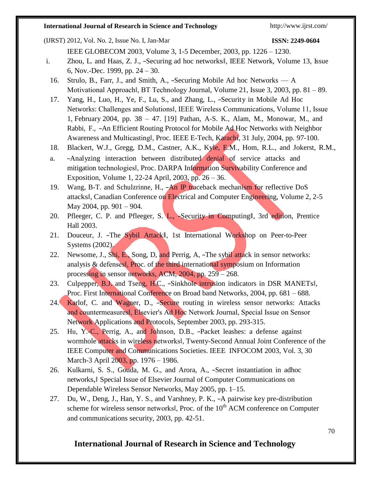(IJRST) 2012, Vol. No. 2, Issue No. I, Jan-Mar **ISSN: 2249-0604**

IEEE GLOBECOM 2003, Volume 3, 1-5 December, 2003, pp. 1226 – 1230.

- i. Zhou, L. and Haas, Z. J., ―Securing ad hoc networks‖, IEEE Network, Volume 13, Issue 6, Nov.-Dec. 1999, pp. 24 – 30.
	- 16. Strulo, B., Farr, J., and Smith, A., ―Securing Mobile Ad hoc Networks A Motivational Approach‖, BT Technology Journal, Volume 21, Issue 3, 2003, pp. 81 – 89.
	- 17. Yang, H., Luo, H., Ye, F., Lu, S., and Zhang, L., ―Security in Mobile Ad Hoc Networks: Challenges and Solutions‖, IEEE Wireless Communications, Volume 11, Issue 1, February 2004, pp. 38 – 47. [19] Pathan, A-S. K., Alam, M., Monowar, M., and Rabbi, F., ―An Efficient Routing Protocol for Mobile Ad Hoc Networks with Neighbor Awareness and Multicasting|, Proc. IEEE E-Tech, Karachi, 31 July, 2004, pp. 97-100.
	- 18. Blackert, W.J., Gregg, D.M., Castner, A.K., Kyle, E.M., Hom, R.L., and Jokerst, R.M.,
	- a. ―Analyzing interaction between distributed denial of service attacks and mitigation technologies‖, Proc. DARPA Information Survivability Conference and Exposition, Volume 1, 22-24 April, 2003, pp. 26 – 36.
	- 19. Wang, B-T. and Schulzrinne, H., –An IP traceback mechanism for reflective DoS attacks‖, Canadian Conference on Electrical and Computer Engineering, Volume 2, 2-5 May 2004, pp. 901 – 904.
	- 20. Pfleeger, C. P. and Pfleeger, S. L., ―Security in Computing‖, 3rd edition, Prentice Hall 2003.
	- 21. Douceur, J. ―The Sybil Attack‖, 1st International Workshop on Peer-to-Peer Systems (2002).
	- 22. Newsome, J., Shi, E., Song, D., and Perrig, A. –The sybil attack in sensor networks: analysis & defenses‖, Proc. of the third international symposium on Information processing in sensor networks, ACM, 2004, pp. 259 – 268.
	- 23. Culpepper, B.J. and Tseng, H.C., ―Sinkhole intrusion indicators in DSR MANETs‖, Proc. First International Conference on Broad band Networks, 2004, pp. 681 – 688.
	- 24. Karlof, C. and Wagner, D., -Secure routing in wireless sensor networks: Attacks and countermeasures‖, Elsevier's Ad Hoc Network Journal, Special Issue on Sensor Network Applications and Protocols, September 2003, pp. 293-315.
	- 25. Hu, Y.-C., Perrig, A., and Johnson, D.B., ―Packet leashes: a defense against wormhole attacks in wireless networksl, Twenty-Second Annual Joint Conference of the IEEE Computer and Communications Societies. IEEE INFOCOM 2003, Vol. 3, 30 March-3 April 2003, pp. 1976 – 1986.
	- 26. Kulkarni, S. S., Gouda, M. G., and Arora, A., ―Secret instantiation in adhoc networks,‖ Special Issue of Elsevier Journal of Computer Communications on Dependable Wireless Sensor Networks, May 2005, pp. 1–15.
	- 27. Du, W., Deng, J., Han, Y. S., and Varshney, P. K., ―A pairwise key pre-distribution scheme for wireless sensor networks||, Proc. of the  $10<sup>th</sup>$  ACM conference on Computer and communications security, 2003, pp. 42-51.